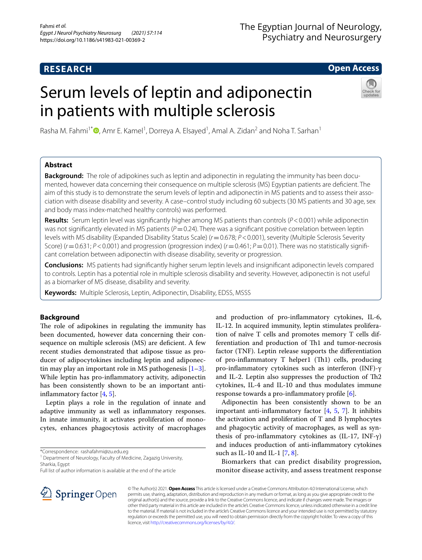# **RESEARCH**

# The Egyptian Journal of Neurology, Psychiatry and Neurosurgery

# **Open Access**

# Serum levels of leptin and adiponectin in patients with multiple sclerosis



Rasha M. Fahmi<sup>1\*</sup> <sup>(1</sup>)[,](http://orcid.org/0000-0003-3934-2254) Amr E. Kamel<sup>1</sup>, Dorreya A. Elsayed<sup>1</sup>, Amal A. Zidan<sup>2</sup> and Noha T. Sarhan<sup>1</sup>

# **Abstract**

**Background:** The role of adipokines such as leptin and adiponectin in regulating the immunity has been documented, however data concerning their consequence on multiple sclerosis (MS) Egyptian patients are defcient. The aim of this study is to demonstrate the serum levels of leptin and adiponectin in MS patients and to assess their association with disease disability and severity. A case–control study including 60 subjects (30 MS patients and 30 age, sex and body mass index-matched healthy controls) was performed.

**Results:** Serum leptin level was signifcantly higher among MS patients than controls (*P*<0.001) while adiponectin was not significantly elevated in MS patients ( $P$  = 0.24). There was a significant positive correlation between leptin levels with MS disability (Expanded Disability Status Scale) (*r*=0.678; *P*<0.001), severity (Multiple Sclerosis Severity Score) ( $r = 0.631$ ;  $P < 0.001$ ) and progression (progression index) ( $r = 0.461$ ;  $P = 0.01$ ). There was no statistically significant correlation between adiponectin with disease disability, severity or progression.

**Conclusions:** MS patients had signifcantly higher serum leptin levels and insignifcant adiponectin levels compared to controls. Leptin has a potential role in multiple sclerosis disability and severity. However, adiponectin is not useful as a biomarker of MS disease, disability and severity.

**Keywords:** Multiple Sclerosis, Leptin, Adiponectin, Disability, EDSS, MSSS

# **Background**

The role of adipokines in regulating the immunity has been documented, however data concerning their consequence on multiple sclerosis (MS) are deficient. A few recent studies demonstrated that adipose tissue as producer of adipocytokines including leptin and adiponectin may play an important role in MS pathogenesis  $[1-3]$  $[1-3]$ . While leptin has pro-infammatory activity, adiponectin has been consistently shown to be an important antiinfammatory factor [\[4](#page-5-2), [5\]](#page-5-3).

Leptin plays a role in the regulation of innate and adaptive immunity as well as infammatory responses. In innate immunity, it activates proliferation of monocytes, enhances phagocytosis activity of macrophages

\*Correspondence: rashafahmi@zu.edu.eg

<sup>1</sup> Department of Neurology, Faculty of Medicine, Zagazig University, Sharkia, Egypt

Full list of author information is available at the end of the article

and production of pro-infammatory cytokines, IL-6, IL-12. In acquired immunity, leptin stimulates proliferation of naïve T cells and promotes memory T cells differentiation and production of Th1 and tumor-necrosis factor (TNF). Leptin release supports the diferentiation of pro-inflammatory  $T$  helper1 (Th1) cells, producing pro-infammatory cytokines such as interferon (INF)-γ and IL-2. Leptin also suppresses the production of  $Th2$ cytokines, IL-4 and IL-10 and thus modulates immune response towards a pro-infammatory profle [[6\]](#page-5-4).

Adiponectin has been consistently shown to be an important anti-inflammatory factor  $[4, 5, 7]$  $[4, 5, 7]$  $[4, 5, 7]$  $[4, 5, 7]$  $[4, 5, 7]$  $[4, 5, 7]$ . It inhibits the activation and proliferation of T and B lymphocytes and phagocytic activity of macrophages, as well as synthesis of pro-inflammatory cytokines as  $(IL-17, INF-γ)$ and induces production of anti-infammatory cytokines such as IL-10 and IL-1 [[7,](#page-5-5) [8\]](#page-5-6).

Biomarkers that can predict disability progression, monitor disease activity, and assess treatment response



© The Author(s) 2021. **Open Access** This article is licensed under a Creative Commons Attribution 4.0 International License, which permits use, sharing, adaptation, distribution and reproduction in any medium or format, as long as you give appropriate credit to the original author(s) and the source, provide a link to the Creative Commons licence, and indicate if changes were made. The images or other third party material in this article are included in the article's Creative Commons licence, unless indicated otherwise in a credit line to the material. If material is not included in the article's Creative Commons licence and your intended use is not permitted by statutory regulation or exceeds the permitted use, you will need to obtain permission directly from the copyright holder. To view a copy of this licence, visit [http://creativecommons.org/licenses/by/4.0/.](http://creativecommons.org/licenses/by/4.0/)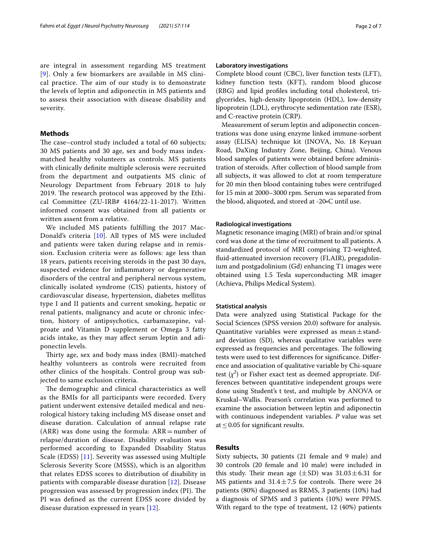are integral in assessment regarding MS treatment [[9](#page-5-7)]. Only a few biomarkers are available in MS clinical practice. The aim of our study is to demonstrate the levels of leptin and adiponectin in MS patients and to assess their association with disease disability and severity.

# **Methods**

The case–control study included a total of 60 subjects; 30 MS patients and 30 age, sex and body mass indexmatched healthy volunteers as controls. MS patients with clinically defnite multiple sclerosis were recruited from the department and outpatients MS clinic of Neurology Department from February 2018 to July 2019. The research protocol was approved by the Ethical Committee (ZU-IRB# 4164/22-11-2017). Written informed consent was obtained from all patients or written assent from a relative.

We included MS patients fulflling the 2017 Mac-Donald's criteria [\[10\]](#page-5-8). All types of MS were included and patients were taken during relapse and in remission. Exclusion criteria were as follows: age less than 18 years, patients receiving steroids in the past 30 days, suspected evidence for infammatory or degenerative disorders of the central and peripheral nervous system, clinically isolated syndrome (CIS) patients, history of cardiovascular disease, hypertension, diabetes mellitus type I and II patients and current smoking, hepatic or renal patients, malignancy and acute or chronic infection, history of antipsychotics, carbamazepine, valproate and Vitamin D supplement or Omega 3 fatty acids intake, as they may afect serum leptin and adiponectin levels.

Thirty age, sex and body mass index (BMI)-matched healthy volunteers as controls were recruited from other clinics of the hospitals. Control group was subjected to same exclusion criteria.

The demographic and clinical characteristics as well as the BMIs for all participants were recorded. Every patient underwent extensive detailed medical and neurological history taking including MS disease onset and disease duration. Calculation of annual relapse rate (ARR) was done using the formula:  $ARR = number of$ relapse/duration of disease. Disability evaluation was performed according to Expanded Disability Status Scale (EDSS) [\[11](#page-5-9)]. Severity was assessed using Multiple Sclerosis Severity Score (MSSS), which is an algorithm that relates EDSS scores to distribution of disability in patients with comparable disease duration [\[12](#page-5-10)]. Disease progression was assessed by progression index (PI). The PI was defned as the current EDSS score divided by disease duration expressed in years [\[12](#page-5-10)].

# **Laboratory investigations**

Complete blood count (CBC), liver function tests (LFT), kidney function tests (KFT), random blood glucose (RBG) and lipid profles including total cholesterol, triglycerides, high-density lipoprotein (HDL), low-density lipoprotein (LDL), erythrocyte sedimentation rate (ESR), and C-reactive protein (CRP).

Measurement of serum leptin and adiponectin concentrations was done using enzyme linked immune-sorbent assay (ELISA) technique kit (INOVA, No. 18 Keyuan Road, DaXing Industry Zone, Beijing, China). Venous blood samples of patients were obtained before administration of steroids. After collection of blood sample from all subjects, it was allowed to clot at room temperature for 20 min then blood containing tubes were centrifuged for 15 min at 2000–3000 rpm. Serum was separated from the blood, aliquoted, and stored at -20∘C until use.

## **Radiological investigations**

Magnetic resonance imaging (MRI) of brain and/or spinal cord was done at the time of recruitment to all patients. A standardized protocol of MRI comprising T2-weighted, fuid-attenuated inversion recovery (FLAIR), pregadolinium and postgadolinium (Gd) enhancing T1 images were obtained using 1.5 Tesla superconducting MR imager (Achieva, Philips Medical System).

## **Statistical analysis**

Data were analyzed using Statistical Package for the Social Sciences (SPSS version 20.0) software for analysis. Quantitative variables were expressed as mean $\pm$ standard deviation (SD), whereas qualitative variables were expressed as frequencies and percentages. The following tests were used to test diferences for signifcance. Diference and association of qualitative variable by Chi-square test  $(\chi^2)$  or Fisher exact test as deemed appropriate. Differences between quantitative independent groups were done using Student's t test, and multiple by ANOVA or Kruskal–Wallis. Pearson's correlation was performed to examine the association between leptin and adiponectin with continuous independent variables. *P* value was set at  $\leq$  0.05 for significant results.

# **Results**

Sixty subjects, 30 patients (21 female and 9 male) and 30 controls (20 female and 10 male) were included in this study. Their mean age  $(\pm SD)$  was  $31.03 \pm 6.31$  for MS patients and  $31.4 \pm 7.5$  for controls. There were 24 patients (80%) diagnosed as RRMS, 3 patients (10%) had a diagnosis of SPMS and 3 patients (10%) were PPMS. With regard to the type of treatment, 12 (40%) patients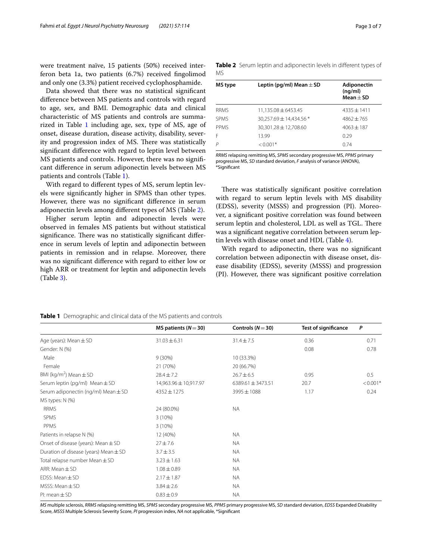were treatment naïve, 15 patients (50%) received interferon beta 1a, two patients (6.7%) received fngolimod and only one (3.3%) patient received cyclophosphamide.

Data showed that there was no statistical signifcant diference between MS patients and controls with regard to age, sex, and BMI. Demographic data and clinical characteristic of MS patients and controls are summa-rized in Table [1](#page-2-0) including age, sex, type of MS, age of onset, disease duration, disease activity, disability, severity and progression index of MS. There was statistically signifcant diference with regard to leptin level between MS patients and controls. However, there was no signifcant diference in serum adiponectin levels between MS patients and controls (Table [1\)](#page-2-0).

With regard to diferent types of MS, serum leptin levels were signifcantly higher in SPMS than other types. However, there was no signifcant diference in serum adiponectin levels among diferent types of MS (Table [2\)](#page-2-1).

Higher serum leptin and adiponectin levels were observed in females MS patients but without statistical significance. There was no statistically significant difference in serum levels of leptin and adiponectin between patients in remission and in relapse. Moreover, there was no signifcant diference with regard to either low or high ARR or treatment for leptin and adiponectin levels (Table [3](#page-3-0)).

<span id="page-2-1"></span>

|     | Table 2 Serum leptin and adiponectin levels in different types of |
|-----|-------------------------------------------------------------------|
| MS. |                                                                   |

| MS type     | Leptin (pg/ml) Mean $\pm$ SD | Adiponectin<br>(nq/ml)<br>$Mean + SD$ |
|-------------|------------------------------|---------------------------------------|
| <b>RRMS</b> | 11,135.08 ± 6453.45          | $4335 + 1411$                         |
| <b>SPMS</b> | 30,257.69 ± 14,434.56 *      | $4862 + 765$                          |
| PPMS        | 30.301.28 ± 12.708.60        | $4063 + 187$                          |
| F           | 13.99                        | 0.29                                  |
| P           | $< 0.001*$                   | 0.74                                  |

*RRMS* relapsing remitting MS, *SPMS* secondary progressive MS, *PPMS* primary progressive MS, *SD* standard deviation, *F* analysis of variance (ANOVA), \*Signifcant

There was statistically significant positive correlation with regard to serum leptin levels with MS disability (EDSS), severity (MSSS) and progression (PI). Moreover, a signifcant positive correlation was found between serum leptin and cholesterol, LDL as well as TGL. There was a signifcant negative correlation between serum leptin levels with disease onset and HDL (Table [4\)](#page-3-1).

With regard to adiponectin, there was no signifcant correlation between adiponectin with disease onset, disease disability (EDSS), severity (MSSS) and progression (PI). However, there was signifcant positive correlation

<span id="page-2-0"></span>

| <b>Table 1</b> Demographic and clinical data of the MS patients and controls |  |
|------------------------------------------------------------------------------|--|
|------------------------------------------------------------------------------|--|

|                                           | MS patients ( $N = 30$ ) | Controls $(N=30)$     | <b>Test of significance</b> | P          |
|-------------------------------------------|--------------------------|-----------------------|-----------------------------|------------|
| Age (years): Mean $\pm$ SD                | $31.03 \pm 6.31$         | $31.4 \pm 7.5$        | 0.36                        | 0.71       |
| Gender: N (%)                             |                          |                       | 0.08                        | 0.78       |
| Male                                      | $9(30\%)$                | 10 (33.3%)            |                             |            |
| Female                                    | 21 (70%)                 | 20 (66.7%)            |                             |            |
| BMI (kg/m <sup>2</sup> ) Mean $\pm$ SD    | $28.4 \pm 7.2$           | $26.7 \pm 6.5$        | 0.95                        | 0.5        |
| Serum leptin (pg/ml) Mean $\pm$ SD        | 14,963.96 ± 10,917.97    | 6389.61 $\pm$ 3473.51 | 20.7                        | $< 0.001*$ |
| Serum adiponectin (ng/ml) Mean $\pm$ SD   | $4352 \pm 1275$          | 3995 ± 1088           | 1.17                        | 0.24       |
| MS types: N (%)                           |                          |                       |                             |            |
| <b>RRMS</b>                               | 24 (80.0%)               | <b>NA</b>             |                             |            |
| <b>SPMS</b>                               | 3(10%)                   |                       |                             |            |
| PPMS                                      | $3(10\%)$                |                       |                             |            |
| Patients in relapse N (%)                 | 12 (40%)                 | <b>NA</b>             |                             |            |
| Onset of disease (years): Mean $\pm$ SD   | $27 + 7.6$               | <b>NA</b>             |                             |            |
| Duration of disease (years) Mean $\pm$ SD | $3.7 \pm 3.5$            | <b>NA</b>             |                             |            |
| Total relapse number Mean $\pm$ SD        | $3.23 \pm 1.63$          | <b>NA</b>             |                             |            |
| ARR: Mean $\pm$ SD                        | $1.08 \pm 0.89$          | <b>NA</b>             |                             |            |
| EDSS: Mean $\pm$ SD                       | $2.17 \pm 1.87$          | <b>NA</b>             |                             |            |
| $MSSS: Mean \pm SD$                       | $3.84 \pm 2.6$           | <b>NA</b>             |                             |            |
| $Pl:$ mean $\pm$ SD                       | $0.83 \pm 0.9$           | <b>NA</b>             |                             |            |

*MS* multiple sclerosis, *RRMS* relapsing remitting MS, *SPMS* secondary progressive MS, *PPMS* primary progressive MS, *SD* standard deviation, *EDSS* Expanded Disability Score, *MSSS* Multiple Sclerosis Severity Score, *PI* progression index, *NA* not applicable, \*Signifcant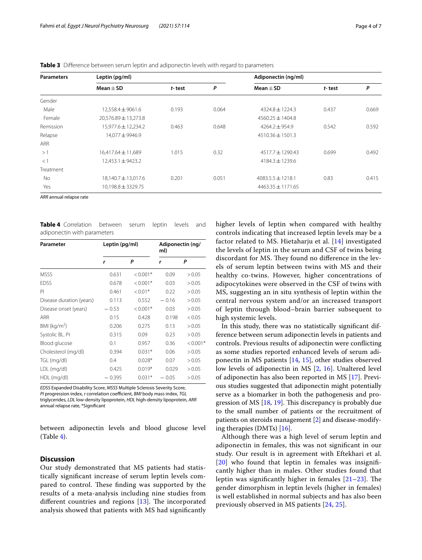| <b>Parameters</b> | Leptin (pg/ml)         |                      |                     | Adiponectin (ng/ml)   |        |       |  |
|-------------------|------------------------|----------------------|---------------------|-----------------------|--------|-------|--|
|                   | $Mean + SD$            | t-test               | P                   | Mean $\pm$ SD         | t-test | P     |  |
| Gender            |                        |                      |                     |                       |        |       |  |
| Male              | $12,558.4 \pm 9061.6$  | 0.193                | 0.064               | $4324.8 \pm 1224.3$   | 0.437  | 0.669 |  |
| Female            | 20,576.89 ± 13,273.8   | $4560.25 \pm 1404.8$ |                     |                       |        |       |  |
| Remission         | 15,977.6 ± 12,234.2    | 0.463                | 0.648               | $4264.2 \pm 954.9$    | 0.542  | 0.592 |  |
| Relapse           | 14,077 ± 9946.9        | $4510.36 \pm 1501.3$ |                     |                       |        |       |  |
| <b>ARR</b>        |                        |                      |                     |                       |        |       |  |
| >1                | $16,417.64 \pm 11,689$ | 1.015                | 0.32                | $4517.7 \pm 1290.43$  | 0.699  | 0.492 |  |
| <1                | $12,453.1 \pm 9423.2$  |                      | $4184.3 \pm 1239.6$ |                       |        |       |  |
| Treatment         |                        |                      |                     |                       |        |       |  |
| No                | 18,140.7 ± 13,017.6    | 0.201                | 0.051               | $4083.5.5 + 1218.1$   | 0.83   | 0.415 |  |
| Yes               | 10,198.8 ± 3329.75     |                      |                     | $4463.35 \pm 1171.65$ |        |       |  |

<span id="page-3-0"></span>**Table 3** Diference between serum leptin and adiponectin levels with regard to parameters

*ARR* annual relapse rate

<span id="page-3-1"></span>**Table 4** Correlation between serum leptin levels and adiponectin with parameters

| Parameter                | Leptin (pg/ml) |            | Adiponectin (ng/<br>ml) |            |
|--------------------------|----------------|------------|-------------------------|------------|
|                          | r              | Ρ          | r                       | Ρ          |
| <b>MSSS</b>              | 0.631          | $< 0.001*$ | 0.09                    | > 0.05     |
| <b>EDSS</b>              | 0.678          | $< 0.001*$ | 0.03                    | > 0.05     |
| PI                       | 0.461          | $< 0.01*$  | 0.22                    | > 0.05     |
| Disease duration (years) | 0.113          | 0.552      | $-0.16$                 | > 0.05     |
| Disease onset (years)    | $-0.53$        | $< 0.001*$ | 0.03                    | > 0.05     |
| ARR                      | 0.15           | 0.428      | 0.198                   | < 0.05     |
| BMI ( $kg/m2$ )          | 0.206          | 0.275      | 0.13                    | > 0.05     |
| Systolic BL. Pr          | 0.315          | 0.09       | 0.23                    | > 0.05     |
| Blood glucose            | 0.1            | 0.957      | 0.36                    | $< 0.001*$ |
| Cholesterol (mg/dl)      | 0.394          | $0.031*$   | 0.06                    | > 0.05     |
| TGL (mg/dl)              | 0.4            | $0.028*$   | 0.07                    | > 0.05     |
| LDL (mg/dl)              | 0.425          | $0.019*$   | 0.029                   | > 0.05     |
| HDL (mg/dl)              | 0.395          | $0.031*$   | 0.05                    | > 0.05     |

*EDSS* Expanded Disability Score, *MSSS* Multiple Sclerosis Severity Score, *PI* progression index, *r* correlation coefficient, *BMI* body mass index, *TGL* triglycerides, *LDL* low-density lipoprotein, *HDL* high-density lipoprotein, *ARR* annual relapse rate, \*Signifcant

between adiponectin levels and blood glucose level (Table [4](#page-3-1)).

# **Discussion**

Our study demonstrated that MS patients had statistically signifcant increase of serum leptin levels compared to control. These finding was supported by the results of a meta-analysis including nine studies from different countries and regions  $[13]$  $[13]$  $[13]$ . The incorporated analysis showed that patients with MS had signifcantly higher levels of leptin when compared with healthy controls indicating that increased leptin levels may be a factor related to MS. Hietaharju et al. [[14\]](#page-5-12) investigated the levels of leptin in the serum and CSF of twins being discordant for MS. They found no difference in the levels of serum leptin between twins with MS and their healthy co-twins. However, higher concentrations of adipocytokines were observed in the CSF of twins with MS, suggesting an in situ synthesis of leptin within the central nervous system and/or an increased transport of leptin through blood–brain barrier subsequent to high systemic levels.

In this study, there was no statistically signifcant difference between serum adiponectin levels in patients and controls. Previous results of adiponectin were conficting as some studies reported enhanced levels of serum adiponectin in MS patients [\[14](#page-5-12), [15](#page-5-13)], other studies observed low levels of adiponectin in MS [[2,](#page-5-14) [16\]](#page-5-15). Unaltered level of adiponectin has also been reported in MS [[17](#page-5-16)]. Previous studies suggested that adiponectin might potentially serve as a biomarker in both the pathogenesis and progression of MS  $[18, 19]$  $[18, 19]$  $[18, 19]$  $[18, 19]$  $[18, 19]$ . This discrepancy is probably due to the small number of patients or the recruitment of patients on steroids management [\[2\]](#page-5-14) and disease-modifying therapies (DMTs) [\[16](#page-5-15)].

Although there was a high level of serum leptin and adiponectin in females, this was not signifcant in our study. Our result is in agreement with Eftekhari et al. [[20](#page-6-1)] who found that leptin in females was insignificantly higher than in males. Other studies found that leptin was significantly higher in females  $[21-23]$  $[21-23]$ . The gender dimorphism in leptin levels (higher in females) is well established in normal subjects and has also been previously observed in MS patients [[24,](#page-6-4) [25\]](#page-6-5).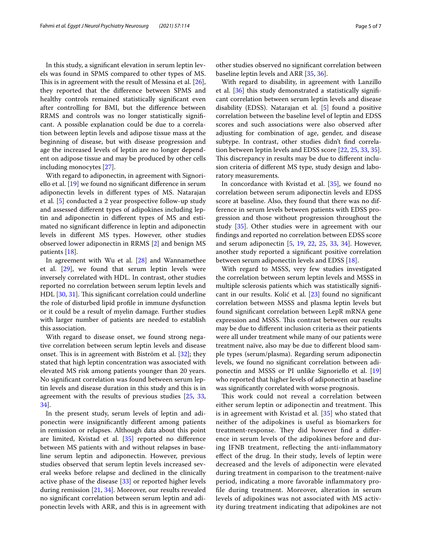In this study, a signifcant elevation in serum leptin levels was found in SPMS compared to other types of MS. This is in agreement with the result of Messina et al.  $[26]$  $[26]$ , they reported that the diference between SPMS and healthy controls remained statistically signifcant even after controlling for BMI, but the diference between RRMS and controls was no longer statistically signifcant. A possible explanation could be due to a correlation between leptin levels and adipose tissue mass at the beginning of disease, but with disease progression and age the increased levels of leptin are no longer dependent on adipose tissue and may be produced by other cells including monocytes [[27\]](#page-6-7).

With regard to adiponectin, in agreement with Signoriello et al. [[19](#page-6-0)] we found no signifcant diference in serum adiponectin levels in diferent types of MS. Natarajan et al. [[5\]](#page-5-3) conducted a 2 year prospective follow-up study and assessed diferent types of adipokines including leptin and adiponectin in diferent types of MS and estimated no signifcant diference in leptin and adiponectin levels in diferent MS types. However, other studies observed lower adiponectin in RRMS [[2\]](#page-5-14) and benign MS patients [[18\]](#page-5-17).

In agreement with Wu et al. [[28](#page-6-8)] and Wannamethee et al. [\[29](#page-6-9)], we found that serum leptin levels were inversely correlated with HDL. In contrast, other studies reported no correlation between serum leptin levels and HDL [[30](#page-6-10), [31\]](#page-6-11). This significant correlation could underline the role of disturbed lipid profle in immune dysfunction or it could be a result of myelin damage. Further studies with larger number of patients are needed to establish this association.

With regard to disease onset, we found strong negative correlation between serum leptin levels and disease onset. This is in agreement with Biström et al.  $[32]$  $[32]$  $[32]$ ; they stated that high leptin concentration was associated with elevated MS risk among patients younger than 20 years. No signifcant correlation was found between serum leptin levels and disease duration in this study and this is in agreement with the results of previous studies [\[25](#page-6-5), [33](#page-6-13), [34\]](#page-6-14).

In the present study, serum levels of leptin and adiponectin were insignifcantly diferent among patients in remission or relapses. Although data about this point are limited, Kvistad et al. [[35\]](#page-6-15) reported no diference between MS patients with and without relapses in baseline serum leptin and adiponectin. However, previous studies observed that serum leptin levels increased several weeks before relapse and declined in the clinically active phase of the disease [\[33](#page-6-13)] or reported higher levels during remission [\[21](#page-6-2), [34\]](#page-6-14). Moreover, our results revealed no signifcant correlation between serum leptin and adiponectin levels with ARR, and this is in agreement with other studies observed no signifcant correlation between baseline leptin levels and ARR [\[35](#page-6-15), [36](#page-6-16)].

With regard to disability, in agreement with Lanzillo et al. [[36\]](#page-6-16) this study demonstrated a statistically significant correlation between serum leptin levels and disease disability (EDSS). Natarajan et al. [\[5](#page-5-3)] found a positive correlation between the baseline level of leptin and EDSS scores and such associations were also observed after adjusting for combination of age, gender, and disease subtype. In contrast, other studies didn't fnd correlation between leptin levels and EDSS score [\[22](#page-6-17), [25,](#page-6-5) [33,](#page-6-13) [35](#page-6-15)]. This discrepancy in results may be due to different inclusion criteria of diferent MS type, study design and laboratory measurements.

In concordance with Kvistad et al. [[35](#page-6-15)], we found no correlation between serum adiponectin levels and EDSS score at baseline. Also, they found that there was no difference in serum levels between patients with EDSS progression and those without progression throughout the study [[35](#page-6-15)]. Other studies were in agreement with our fndings and reported no correlation between EDSS score and serum adiponectin [\[5](#page-5-3), [19,](#page-6-0) [22](#page-6-17), [25,](#page-6-5) [33,](#page-6-13) [34](#page-6-14)]. However, another study reported a signifcant positive correlation between serum adiponectin levels and EDSS [\[18](#page-5-17)].

With regard to MSSS, very few studies investigated the correlation between serum leptin levels and MSSS in multiple sclerosis patients which was statistically signifcant in our results. Kolić et al. [[23\]](#page-6-3) found no signifcant correlation between MSSS and plasma leptin levels but found signifcant correlation between LepR mRNA gene expression and MSSS. This contrast between our results may be due to diferent inclusion criteria as their patients were all under treatment while many of our patients were treatment naïve, also may be due to diferent blood sample types (serum/plasma). Regarding serum adiponectin levels, we found no signifcant correlation between adiponectin and MSSS or PI unlike Signoriello et al. [[19](#page-6-0)] who reported that higher levels of adiponectin at baseline was signifcantly correlated with worse prognosis.

This work could not reveal a correlation between either serum leptin or adiponectin and treatment. This is in agreement with Kvistad et al. [\[35](#page-6-15)] who stated that neither of the adipokines is useful as biomarkers for treatment-response. They did however find a difference in serum levels of the adipokines before and during IFNB treatment, refecting the anti-infammatory efect of the drug. In their study, levels of leptin were decreased and the levels of adiponectin were elevated during treatment in comparison to the treatment-naïve period, indicating a more favorable infammatory profle during treatment. Moreover, alteration in serum levels of adipokines was not associated with MS activity during treatment indicating that adipokines are not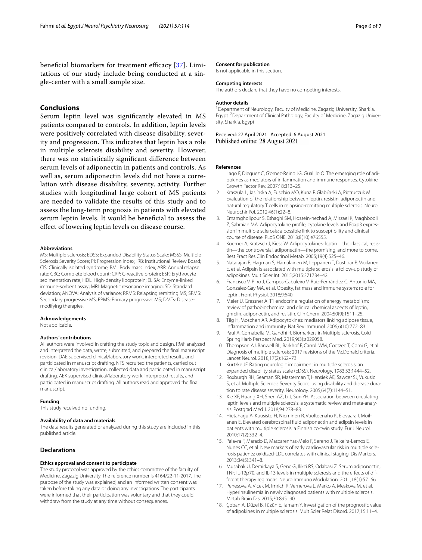beneficial biomarkers for treatment efficacy [[37\]](#page-6-18). Limitations of our study include being conducted at a single-center with a small sample size.

# **Conclusions**

Serum leptin level was signifcantly elevated in MS patients compared to controls. In addition, leptin levels were positively correlated with disease disability, severity and progression. This indicates that leptin has a role in multiple sclerosis disability and severity. However, there was no statistically signifcant diference between serum levels of adiponectin in patients and controls. As well as, serum adiponectin levels did not have a correlation with disease disability, severity, activity. Further studies with longitudinal large cohort of MS patients are needed to validate the results of this study and to assess the long-term prognosis in patients with elevated serum leptin levels. It would be benefcial to assess the efect of lowering leptin levels on disease course.

#### **Abbreviations**

MS: Multiple sclerosis; EDSS: Expanded Disability Status Scale; MSSS: Multiple Sclerosis Severity Score; PI: Progression index; IRB: Institutional Review Board; CIS: Clinically isolated syndrome; BMI: Body mass index; ARR: Annual relapse rate; CBC: Complete blood count; CRP: C-reactive protein; ESR: Erythrocyte sedimentation rate; HDL: High-density lipoprotein; ELISA: Enzyme-linked immune-sorbent assay; MRI: Magnetic resonance imaging; SD: Standard deviation; ANOVA: Analysis of variance; RRMS: Relapsing remitting MS; SPMS: Secondary progressive MS; PPMS: Primary progressive MS; DMTs: Diseasemodifying therapies.

#### **Acknowledgements**

Not applicable.

#### **Authors' contributions**

All authors were involved in crafting the study topic and design. RMF analyzed and interpreted the data, wrote, submitted, and prepared the fnal manuscript revision. DAE supervised clinical/laboratory work, interpreted results, and participated in manuscript drafting. NTS recruited the patients, carried out clinical/laboratory investigation, collected data and participated in manuscript drafting. AEK supervised clinical/laboratory work, interpreted results, and participated in manuscript drafting. All authors read and approved the fnal manuscript.

#### **Funding**

This study received no funding.

#### **Availability of data and materials**

The data results generated or analyzed during this study are included in this published article.

#### **Declarations**

#### **Ethics approval and consent to participate**

The study protocol was approved by the ethics committee of the faculty of Medicine, Zagazig University. The reference number is 4164/22-11-2017. The purpose of the study was explained, and an informed written consent was taken before taking any data or doing any investigations. The participants were informed that their participation was voluntary and that they could withdraw from the study at any time without consequences.

## **Consent for publication**

Is not applicable in this section.

#### **Competing interests**

The authors declare that they have no competing interests.

#### **Author details**

<sup>1</sup> Department of Neurology, Faculty of Medicine, Zagazig University, Sharkia, Egypt.<sup>2</sup> Department of Clinical Pathology, Faculty of Medicine, Zagazig University, Sharkia, Egypt.

Received: 27 April 2021 Accepted: 6 August 2021 Published online: 28 August 2021

#### **References**

- <span id="page-5-0"></span>1. Lago F, Dieguez C, G'omez-Reino JG, Gualillo O. The emerging role of adipokines as mediators of infammation and immune responses. Cytokine Growth Factor Rev. 2007;18:313–25.
- <span id="page-5-14"></span>2. Kraszula L, Jasi'nska A, Eusebio MO, Kuna P, Głabi'nski A, Pietruczuk M. Evaluation of the relationship between leptin, resistin, adiponectin and natural regulatory T cells in relapsing-remitting multiple sclerosis. Neurol Neurochir Pol. 2012;46(1):22–8.
- <span id="page-5-1"></span>3. Emamgholipour S, Eshaghi SM, Hossein-nezhad A, Mirzaei K, Maghbooli Z, Sahraian MA. Adipocytokine profle, cytokine levels and Foxp3 expression in multiple sclerosis: a possible link to susceptibility and clinical course of disease. PLoS ONE. 2013;8(10):e76555.
- <span id="page-5-2"></span>4. Koerner A, Kratzsch J, Kiess W. Adipocytokines: leptin—the classical, resistin—the controversial, adiponectin—the promising, and more to come. Best Pract Res Clin Endocrinol Metab. 2005;19(4):525–46.
- <span id="page-5-3"></span>5. Natarajan R, Hagman S, Hämälainen M, Leppänen T, Dastidar P, Moilanen E, et al. Adipsin is associated with multiple sclerosis: a follow-up study of adipokines. Mult Scler Int. 2015;2015:371734–42.
- <span id="page-5-4"></span>6. Francisco V, Pino J, Campos-Cabaleiro V, Ruiz-Fernández C, Antonio MA, Gonzalez-Gay MA, et al. Obesity, fat mass and immune system: role for leptin. Front Physiol. 2018;9:640.
- <span id="page-5-5"></span>7. Meier U, Gressner A. T1 endocrine regulation of energy metabolism: review of pathobiochemical and clinical chemical aspects of leptin, ghrelin, adiponectin, and resistin. Clin Chem. 2004;50(9):1511–25.
- <span id="page-5-6"></span>8. Tilg H, Moschen AR. Adipocytokines: mediators linking adipose tissue, infammation and immunity. Nat Rev Immunol. 2006;6(10):772–83.
- <span id="page-5-7"></span>9. Paul A, Comabella M, Gandhi R. Biomarkers in Multiple sclerosis. Cold Spring Harb Perspect Med. 2019;9(3):a029058.
- <span id="page-5-8"></span>10. Thompson AJ, Banwell BL, Barkhof F, Carroll WM, Coetzee T, Comi G, et al. Diagnosis of multiple sclerosis: 2017 revisions of the McDonald criteria. Lancet Neurol. 2018;17(2):162–73.
- <span id="page-5-9"></span>11. Kurtzke JF. Rating neurologic impairment in multiple sclerosis: an expanded disability status scale (EDSS). Neurology. 1983;33:1444–52.
- <span id="page-5-10"></span>12. Roxburgh RH, Seaman SR, Masterman T, Hensiek AE, Sawcer SJ, Vukusic S, et al. Multiple Sclerosis Severity Score: using disability and disease duration to rate disease severity. Neurology. 2005;64(7):1144–51.
- <span id="page-5-11"></span>13. Xie XF, Huang XH, Shen AZ, Li J, Sun YH. Association between circulating leptin levels and multiple sclerosis: a systematic review and meta-analysis. Postgrad Med J. 2018;94:278–83.
- <span id="page-5-12"></span>14. Hietaharju A, Kuusisto H, Nieminen R, Vuolteenaho K, Elovaara I, Moilanen E. Elevated cerebrospinal fuid adiponectin and adipsin levels in patients with multiple sclerosis: a Finnish co-twin study. Eur J Neurol. 2010;17(2):332–4.
- <span id="page-5-13"></span>15. Palavra F, Marado D, Mascarenhas-Melo F, Sereno J, Teixeira-Lemos E, Nunes CC, et al. New markers of early cardiovascular risk in multiple sclerosis patients: oxidized-LDL correlates with clinical staging. Dis Markers. 2013;34(5):341–8.
- <span id="page-5-15"></span>16. Musabak U, Demirkaya S, Genc G, Ilikci RS, Odabasi Z. Serum adiponectin, TNF, IL-12p70, and IL-13 levels in multiple sclerosis and the efects of different therapy regimens. Neuro Immuno Modulation. 2011;18(1):57–66.
- <span id="page-5-16"></span>17. Penesova A, Vlcek M, Imrich R, Vernerova L, Marko A, Meskova M, et al. Hyperinsulinemia in newly diagnosed patients with multiple sclerosis. Metab Brain Dis. 2015;30:895–901.
- <span id="page-5-17"></span>18. Çoban A, Düzel B, Tüzün E, Tamam Y. Investigation of the prognostic value of adipokines in multiple sclerosis. Mult Scler Relat Disord. 2017;15:11–4.